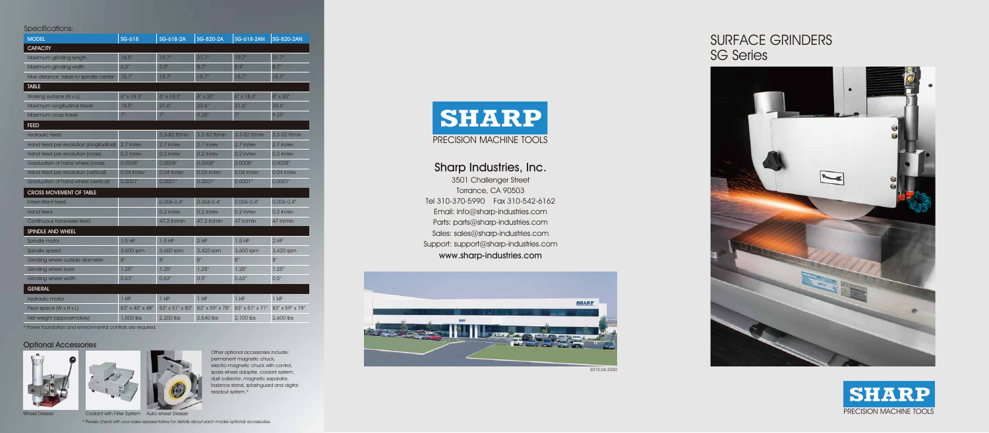Sharp Industries, Inc. 3501 Challenger Street Torrance, CA 90503 Tel 310-370-5990 Fax 310-542-6162 Email: info@sharp-industries.com Parts: parts@sharp-industries.com Sales: sales@sharp-industries.com Support: support@sharp-industries.com www.sharp-industries.com







# SURFACE GRINDERS SG Series



#### Optional Accessories





Wheel Dresser Coolant with Filter System Auto wheel Dresser

\* Power foundation and environmental controls are required.

#### Specifications:

| <b>MODEL</b>                            | SG-618          | SG-618-2A       | SG-820-2A       | SG-618-2AN      | <b>SG-820-2AN</b> |
|-----------------------------------------|-----------------|-----------------|-----------------|-----------------|-------------------|
| <b>CAPACITY</b>                         |                 |                 |                 |                 |                   |
| Maximum grinding length                 | 18.5''          | 19.7''          | 21.7"           | 19.7''          | 21.7"             |
| Maximum grinding width                  | 6.3''           | 5.9''           | 8.7''           | 5.9''           | 8.7''             |
| Max distance: table to spindle center   | 15.7''          | 15.7''          | 15.7''          | 15.7''          | 15.7''            |
| <b>TABLE</b>                            |                 |                 |                 |                 |                   |
| Working surface (W x L)                 | 6" x 18.3"      | 6" x 18.3"      | 8" x 20"        | $6''$ x 18.3"   | 8" x 20"          |
| Maximum longitudinal travel             | 18.9"           | 21.6''          | 23.6''          | 21.6''          | 23.6''            |
| Maximum cross travel                    | 7 <sup>''</sup> | 7 <sup>''</sup> | 9.25''          | 7 <sup>''</sup> | 9.25''            |
| <b>FEED</b>                             |                 |                 |                 |                 |                   |
| <b>Hydraulic feed</b>                   |                 | 3.3-82 ft/min   | 3.3-82 ft/min   | 3.3-82 ft/min   | 3.3-82 ft/min     |
| Hand feed per revolution (longitudinal) | $2.7$ in/rev    | $2.7$ in/rev    | 2.7 in/rev      | 2.7 in/rev      | 2.7 in/rev        |
| Hand feed per revolution (cross)        | $0.2$ in/rev    | $0.2$ in/rev    | $0.2$ in/rev    | $0.2$ in/rev    | $0.2$ in/rev      |
| Graduation of hand wheel (cross)        | 0.0008''        | 0.0008''        | 0.0008''        | 0.0008''        | 0.0008"           |
| Hand feed per revolution (vertical)     | $0.04$ in/rev   | $0.04$ in/rev   | $0.04$ in/rev   | $0.04$ in/rev   | 0.04 in/rev       |
| Graduation of hand wheel (vertical)     | 0.0001''        | 0.0001''        | 0.0001"         | 0.0001''        | 0.0001''          |
| <b>CROSS MOVEMENT OF TABLE</b>          |                 |                 |                 |                 |                   |
| Intermittent feed                       |                 | $0.006 - 0.4"$  | $0.006 - 0.4$ " | $0.006 - 0.4"$  | $0.006 - 0.4$ "   |
| <b>Hand feed</b>                        |                 | $0.2$ in/rev    | $0.2$ in/rev    | $0.2$ in/rev    | $0.2$ in/rev      |
| Continuous transverse feed              |                 | 47.2 in/min     | 47.2 in/min     | 47 in/min       | 47 in/min         |
| SPINDLE AND WHEEL                       |                 |                 |                 |                 |                   |
| Spindle motor                           | $1.5$ HP        | $1.5$ HP        | $2$ HP          | $1.5$ HP        | $2$ HP            |
| Spindle speed                           | 3,600 rpm       | 3,600 rpm       | 3,420 rpm       | 3,600 rpm       | 3,420 rpm         |
| Grinding wheel outside diameter         | 8''             | 8''             | 8''             | 8''             | $8''$             |
| <b>Grinding wheel bore</b>              | 1.25''          | 1.25''          | 1.25''          | 1.25''          | 1.25''            |
| <b>Grinding wheel width</b>             | 0.63''          | 0.63''          | 0.5''           | 0.63''          | 0.5''             |
| <b>GENERAL</b>                          |                 |                 |                 |                 |                   |
| Hydraulic motor                         | $1$ HP          | $1$ HP          | $1$ HP          | $1$ HP          | $1$ HP            |
| Floor space (W x H x L)                 | 83" x 40" x 48" | 83" x 51" x 80" | 83" x 59" x 78" | 83" x 51" x 71" | 83" x 59" x 78"   |
| Net weight (approximately)              | 1,500 lbs       | 2,200 lbs       | 2,540 lbs       | 2,100 lbs       | 2,600 lbs         |

\* Please check with your sales representative for details about each model optional accessories.

Other optional accessories include: permanent magnetic chuck, electro-magnetic chuck with control, spare wheel adapter, coolant system, dust collector, magnetic separator, balance stand, splashguard and digital readout system.\*